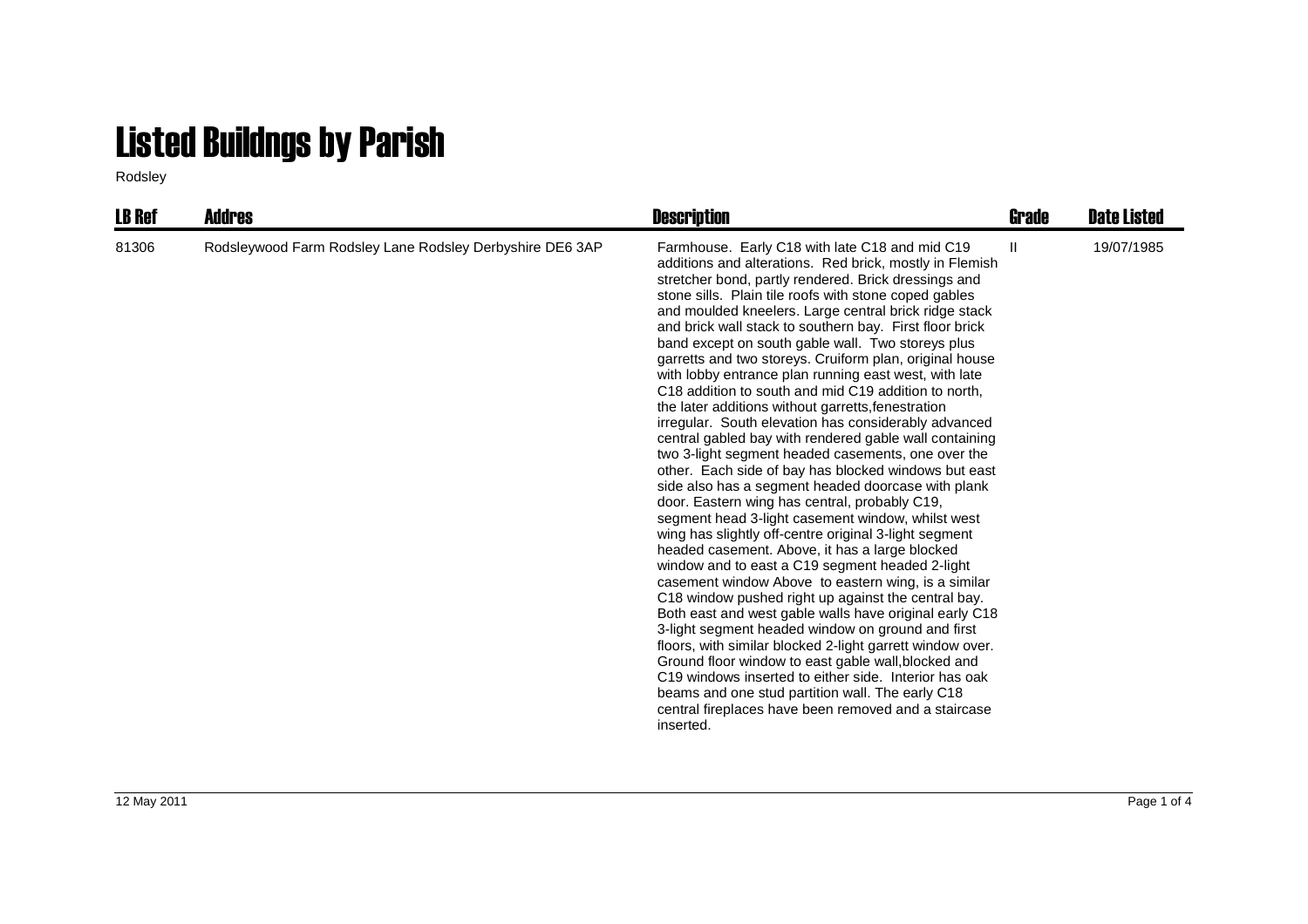## Listed Buildngs by Parish

Rodsley

| <b>LB Ref</b> | <b>Addres</b>                                            | <b>Description</b>                                                                                                                                                                                                                                                                                                                                                                                                                                                                                                                                                                                                                                                                                                                                                                                                                                                                                                                                                                                                                                                                                                                                                                                                                                                                                                                                                                                                                                                                                                                                                                                                                                                                                                                                         | Grade        | <b>Date Listed</b> |
|---------------|----------------------------------------------------------|------------------------------------------------------------------------------------------------------------------------------------------------------------------------------------------------------------------------------------------------------------------------------------------------------------------------------------------------------------------------------------------------------------------------------------------------------------------------------------------------------------------------------------------------------------------------------------------------------------------------------------------------------------------------------------------------------------------------------------------------------------------------------------------------------------------------------------------------------------------------------------------------------------------------------------------------------------------------------------------------------------------------------------------------------------------------------------------------------------------------------------------------------------------------------------------------------------------------------------------------------------------------------------------------------------------------------------------------------------------------------------------------------------------------------------------------------------------------------------------------------------------------------------------------------------------------------------------------------------------------------------------------------------------------------------------------------------------------------------------------------------|--------------|--------------------|
| 81306         | Rodsleywood Farm Rodsley Lane Rodsley Derbyshire DE6 3AP | Farmhouse. Early C18 with late C18 and mid C19<br>additions and alterations. Red brick, mostly in Flemish<br>stretcher bond, partly rendered. Brick dressings and<br>stone sills. Plain tile roofs with stone coped gables<br>and moulded kneelers. Large central brick ridge stack<br>and brick wall stack to southern bay. First floor brick<br>band except on south gable wall. Two storeys plus<br>garretts and two storeys. Cruiform plan, original house<br>with lobby entrance plan running east west, with late<br>C <sub>18</sub> addition to south and mid C <sub>19</sub> addition to north.<br>the later additions without garretts, fenestration<br>irregular. South elevation has considerably advanced<br>central gabled bay with rendered gable wall containing<br>two 3-light segment headed casements, one over the<br>other. Each side of bay has blocked windows but east<br>side also has a segment headed doorcase with plank<br>door. Eastern wing has central, probably C19,<br>segment head 3-light casement window, whilst west<br>wing has slightly off-centre original 3-light segment<br>headed casement. Above, it has a large blocked<br>window and to east a C19 segment headed 2-light<br>casement window Above to eastern wing, is a similar<br>C18 window pushed right up against the central bay.<br>Both east and west gable walls have original early C18<br>3-light segment headed window on ground and first<br>floors, with similar blocked 2-light garrett window over.<br>Ground floor window to east gable wall, blocked and<br>C19 windows inserted to either side. Interior has oak<br>beams and one stud partition wall. The early C18<br>central fireplaces have been removed and a staircase<br>inserted. | $\mathbf{H}$ | 19/07/1985         |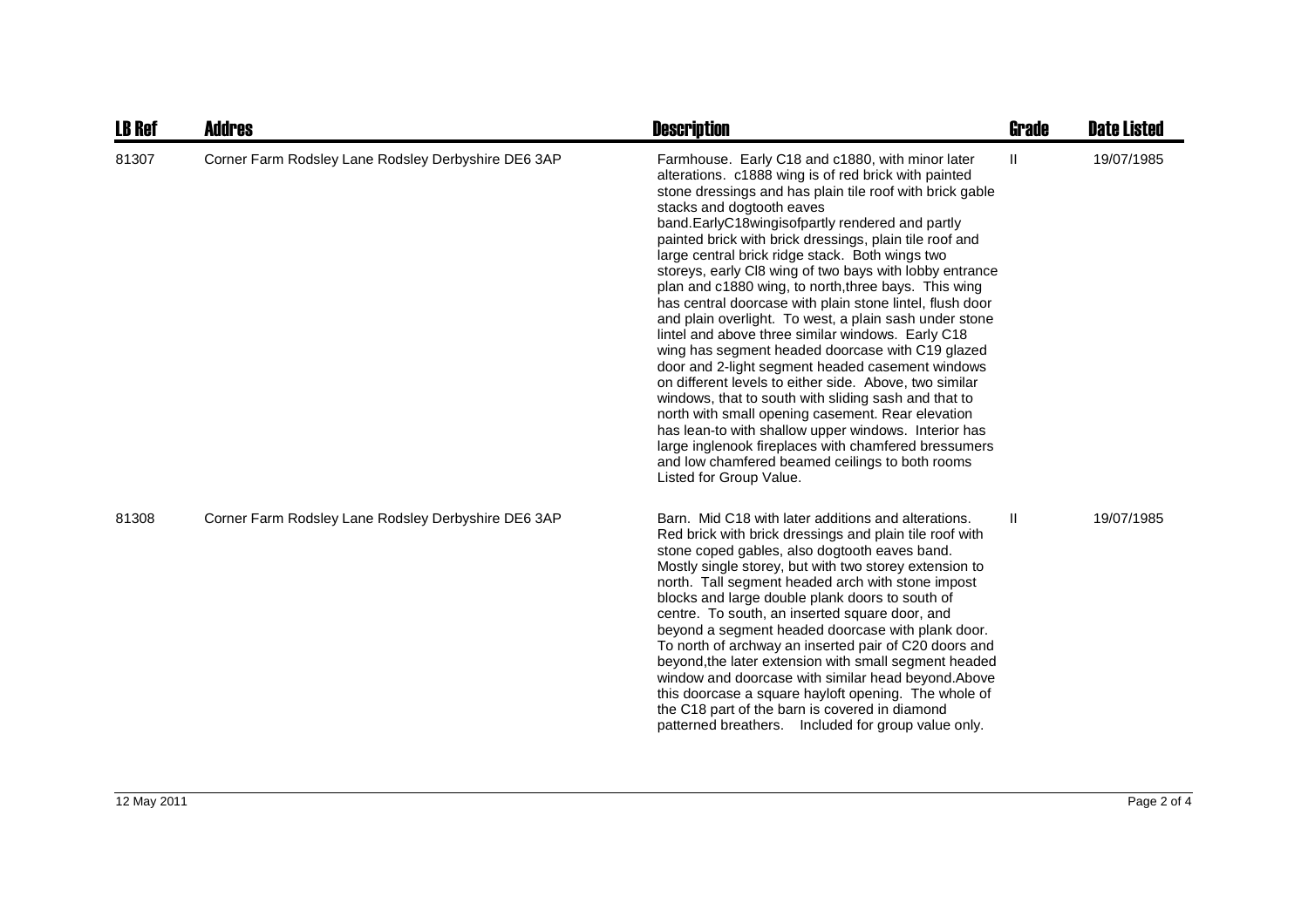| <b>LB Ref</b> | <b>Addres</b>                                       | <b>Description</b>                                                                                                                                                                                                                                                                                                                                                                                                                                                                                                                                                                                                                                                                                                                                                                                                                                                                                                                                                                                                                                                                                                                            | <b>Grade</b> | <b>Date Listed</b> |
|---------------|-----------------------------------------------------|-----------------------------------------------------------------------------------------------------------------------------------------------------------------------------------------------------------------------------------------------------------------------------------------------------------------------------------------------------------------------------------------------------------------------------------------------------------------------------------------------------------------------------------------------------------------------------------------------------------------------------------------------------------------------------------------------------------------------------------------------------------------------------------------------------------------------------------------------------------------------------------------------------------------------------------------------------------------------------------------------------------------------------------------------------------------------------------------------------------------------------------------------|--------------|--------------------|
| 81307         | Corner Farm Rodsley Lane Rodsley Derbyshire DE6 3AP | Farmhouse. Early C18 and c1880, with minor later<br>alterations. c1888 wing is of red brick with painted<br>stone dressings and has plain tile roof with brick gable<br>stacks and dogtooth eaves<br>band.EarlyC18wingisofpartly rendered and partly<br>painted brick with brick dressings, plain tile roof and<br>large central brick ridge stack. Both wings two<br>storeys, early CI8 wing of two bays with lobby entrance<br>plan and c1880 wing, to north, three bays. This wing<br>has central doorcase with plain stone lintel, flush door<br>and plain overlight. To west, a plain sash under stone<br>lintel and above three similar windows. Early C18<br>wing has segment headed doorcase with C19 glazed<br>door and 2-light segment headed casement windows<br>on different levels to either side. Above, two similar<br>windows, that to south with sliding sash and that to<br>north with small opening casement. Rear elevation<br>has lean-to with shallow upper windows. Interior has<br>large inglenook fireplaces with chamfered bressumers<br>and low chamfered beamed ceilings to both rooms<br>Listed for Group Value. | Ш            | 19/07/1985         |
| 81308         | Corner Farm Rodsley Lane Rodsley Derbyshire DE6 3AP | Barn. Mid C18 with later additions and alterations.<br>Red brick with brick dressings and plain tile roof with<br>stone coped gables, also dogtooth eaves band.<br>Mostly single storey, but with two storey extension to<br>north. Tall segment headed arch with stone impost<br>blocks and large double plank doors to south of<br>centre. To south, an inserted square door, and<br>beyond a segment headed doorcase with plank door.<br>To north of archway an inserted pair of C20 doors and<br>beyond, the later extension with small segment headed<br>window and doorcase with similar head beyond.Above<br>this doorcase a square hayloft opening. The whole of<br>the C18 part of the barn is covered in diamond<br>patterned breathers. Included for group value only.                                                                                                                                                                                                                                                                                                                                                             | Ш            | 19/07/1985         |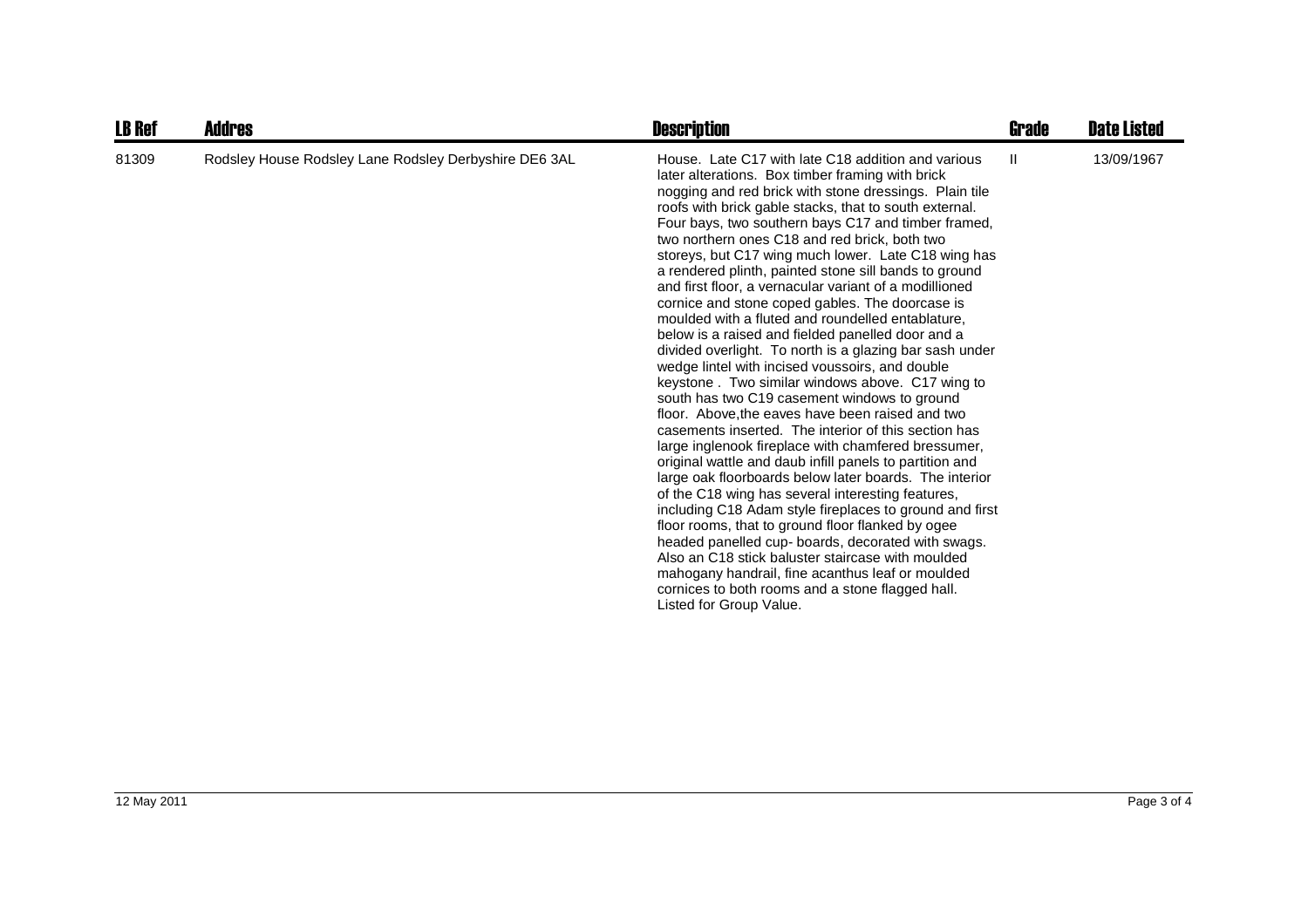| <b>LB Ref</b> | Addres                                                | <b>Description</b>                                                                                                                                                                                                                                                                                                                                                                                                                                                                                                                                                                                                                                                                                                                                                                                                                                                                                                                                                                                                                                                                                                                                                                                                                                                                                                                                                                                                                                                                                                                                                                                     | Grade | <b>Date Listed</b> |
|---------------|-------------------------------------------------------|--------------------------------------------------------------------------------------------------------------------------------------------------------------------------------------------------------------------------------------------------------------------------------------------------------------------------------------------------------------------------------------------------------------------------------------------------------------------------------------------------------------------------------------------------------------------------------------------------------------------------------------------------------------------------------------------------------------------------------------------------------------------------------------------------------------------------------------------------------------------------------------------------------------------------------------------------------------------------------------------------------------------------------------------------------------------------------------------------------------------------------------------------------------------------------------------------------------------------------------------------------------------------------------------------------------------------------------------------------------------------------------------------------------------------------------------------------------------------------------------------------------------------------------------------------------------------------------------------------|-------|--------------------|
| 81309         | Rodsley House Rodsley Lane Rodsley Derbyshire DE6 3AL | House. Late C17 with late C18 addition and various<br>later alterations. Box timber framing with brick<br>nogging and red brick with stone dressings. Plain tile<br>roofs with brick gable stacks, that to south external.<br>Four bays, two southern bays C17 and timber framed,<br>two northern ones C18 and red brick, both two<br>storeys, but C17 wing much lower. Late C18 wing has<br>a rendered plinth, painted stone sill bands to ground<br>and first floor, a vernacular variant of a modillioned<br>cornice and stone coped gables. The doorcase is<br>moulded with a fluted and roundelled entablature,<br>below is a raised and fielded panelled door and a<br>divided overlight. To north is a glazing bar sash under<br>wedge lintel with incised voussoirs, and double<br>keystone. Two similar windows above. C17 wing to<br>south has two C19 casement windows to ground<br>floor. Above, the eaves have been raised and two<br>casements inserted. The interior of this section has<br>large inglenook fireplace with chamfered bressumer,<br>original wattle and daub infill panels to partition and<br>large oak floorboards below later boards. The interior<br>of the C18 wing has several interesting features,<br>including C18 Adam style fireplaces to ground and first<br>floor rooms, that to ground floor flanked by ogee<br>headed panelled cup- boards, decorated with swags.<br>Also an C18 stick baluster staircase with moulded<br>mahogany handrail, fine acanthus leaf or moulded<br>cornices to both rooms and a stone flagged hall.<br>Listed for Group Value. | Ш     | 13/09/1967         |